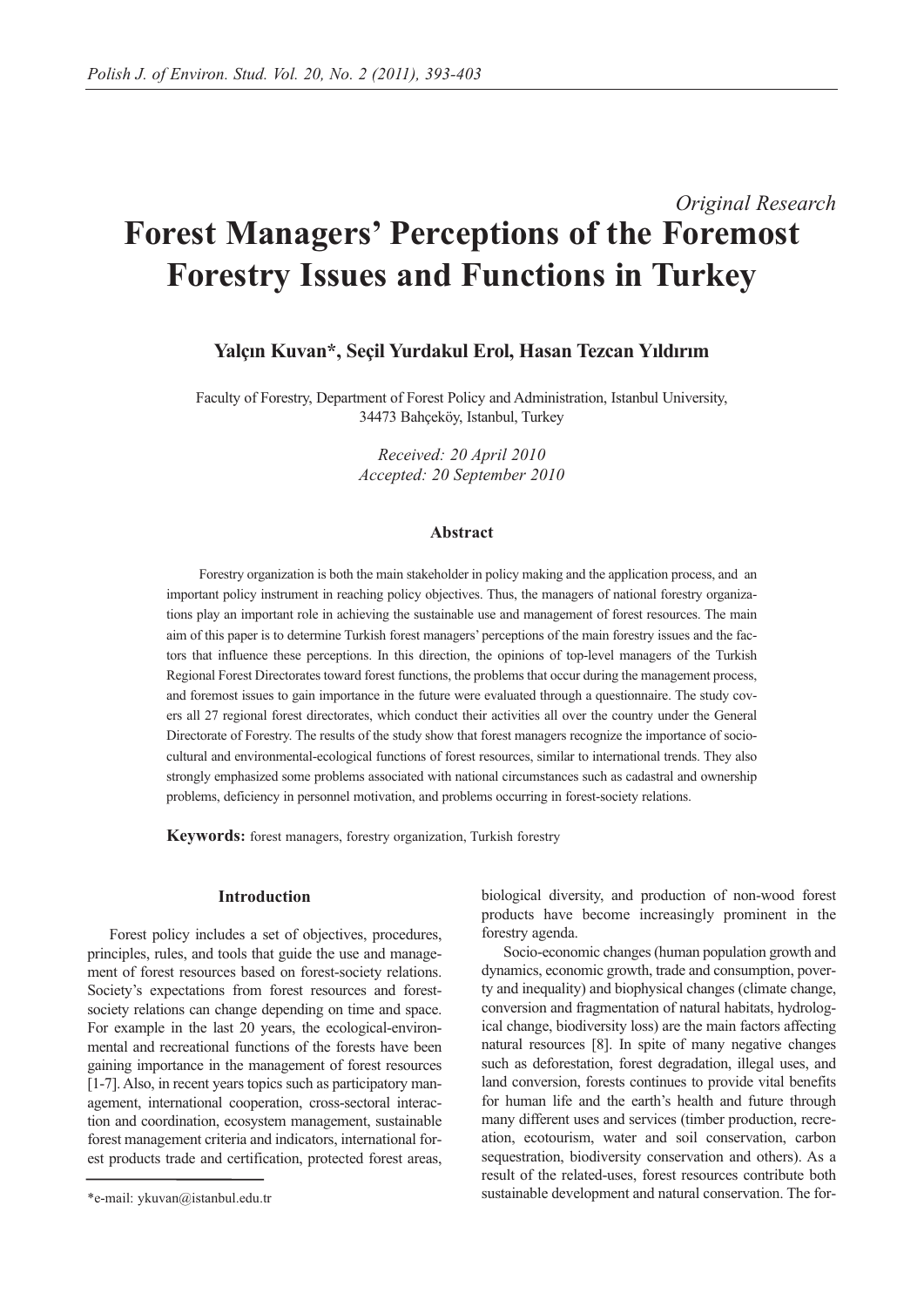# *Original Research* **Forest Managers' Perceptions of the Foremost Forestry Issues and Functions in Turkey**

# **Yalçın Kuvan\*, Seçil Yurdakul Erol, Hasan Tezcan Yıldırım**

Faculty of Forestry, Department of Forest Policy and Administration, Istanbul University, 34473 Bahçeköy, Istanbul, Turkey

> *Received: 20 April 2010 Accepted: 20 September 2010*

## **Abstract**

Forestry organization is both the main stakeholder in policy making and the application process, and an important policy instrument in reaching policy objectives. Thus, the managers of national forestry organizations play an important role in achieving the sustainable use and management of forest resources. The main aim of this paper is to determine Turkish forest managers' perceptions of the main forestry issues and the factors that influence these perceptions. In this direction, the opinions of top-level managers of the Turkish Regional Forest Directorates toward forest functions, the problems that occur during the management process, and foremost issues to gain importance in the future were evaluated through a questionnaire. The study covers all 27 regional forest directorates, which conduct their activities all over the country under the General Directorate of Forestry. The results of the study show that forest managers recognize the importance of sociocultural and environmental-ecological functions of forest resources, similar to international trends. They also strongly emphasized some problems associated with national circumstances such as cadastral and ownership problems, deficiency in personnel motivation, and problems occurring in forest-society relations.

**Keywords:** forest managers, forestry organization, Turkish forestry

## **Introduction**

Forest policy includes a set of objectives, procedures, principles, rules, and tools that guide the use and management of forest resources based on forest-society relations. Society's expectations from forest resources and forestsociety relations can change depending on time and space. For example in the last 20 years, the ecological-environmental and recreational functions of the forests have been gaining importance in the management of forest resources [1-7]. Also, in recent years topics such as participatory management, international cooperation, cross-sectoral interaction and coordination, ecosystem management, sustainable forest management criteria and indicators, international forest products trade and certification, protected forest areas, biological diversity, and production of non-wood forest products have become increasingly prominent in the forestry agenda.

Socio-economic changes (human population growth and dynamics, economic growth, trade and consumption, poverty and inequality) and biophysical changes (climate change, conversion and fragmentation of natural habitats, hydrological change, biodiversity loss) are the main factors affecting natural resources [8]. In spite of many negative changes such as deforestation, forest degradation, illegal uses, and land conversion, forests continues to provide vital benefits for human life and the earth's health and future through many different uses and services (timber production, recreation, ecotourism, water and soil conservation, carbon sequestration, biodiversity conservation and others). As a result of the related-uses, forest resources contribute both sustainable development and natural conservation. The for-

<sup>\*</sup>e-mail: ykuvan@istanbul.edu.tr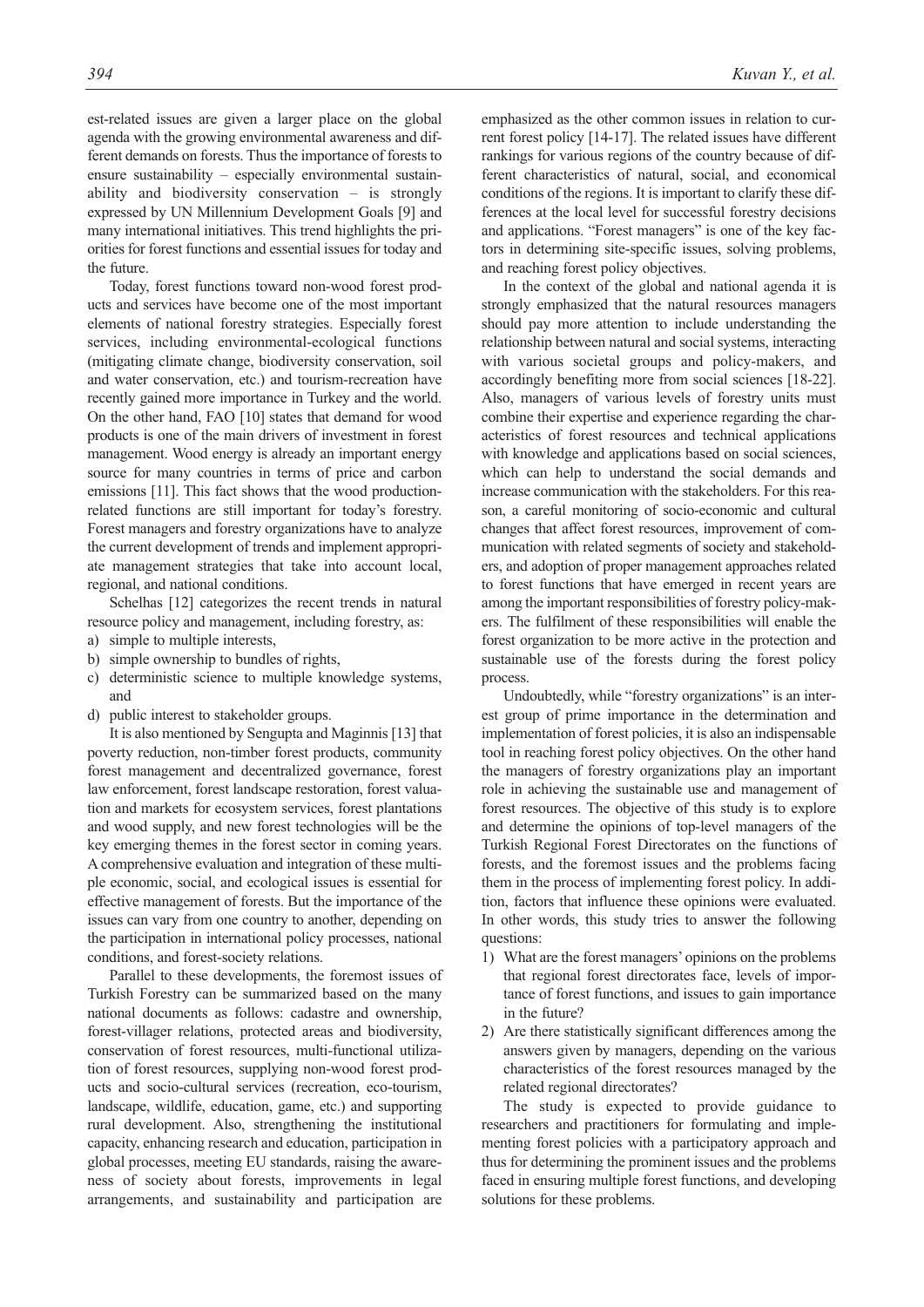est-related issues are given a larger place on the global agenda with the growing environmental awareness and different demands on forests. Thus the importance of forests to ensure sustainability – especially environmental sustainability and biodiversity conservation – is strongly expressed by UN Millennium Development Goals [9] and many international initiatives. This trend highlights the priorities for forest functions and essential issues for today and the future.

Today, forest functions toward non-wood forest products and services have become one of the most important elements of national forestry strategies. Especially forest services, including environmental-ecological functions (mitigating climate change, biodiversity conservation, soil and water conservation, etc.) and tourism-recreation have recently gained more importance in Turkey and the world. On the other hand, FAO [10] states that demand for wood products is one of the main drivers of investment in forest management. Wood energy is already an important energy source for many countries in terms of price and carbon emissions [11]. This fact shows that the wood productionrelated functions are still important for today's forestry. Forest managers and forestry organizations have to analyze the current development of trends and implement appropriate management strategies that take into account local, regional, and national conditions.

Schelhas [12] categorizes the recent trends in natural resource policy and management, including forestry, as:

- a) simple to multiple interests,
- b) simple ownership to bundles of rights,
- c) deterministic science to multiple knowledge systems, and
- d) public interest to stakeholder groups.

It is also mentioned by Sengupta and Maginnis [13] that poverty reduction, non-timber forest products, community forest management and decentralized governance, forest law enforcement, forest landscape restoration, forest valuation and markets for ecosystem services, forest plantations and wood supply, and new forest technologies will be the key emerging themes in the forest sector in coming years. A comprehensive evaluation and integration of these multiple economic, social, and ecological issues is essential for effective management of forests. But the importance of the issues can vary from one country to another, depending on the participation in international policy processes, national conditions, and forest-society relations.

Parallel to these developments, the foremost issues of Turkish Forestry can be summarized based on the many national documents as follows: cadastre and ownership, forest-villager relations, protected areas and biodiversity, conservation of forest resources, multi-functional utilization of forest resources, supplying non-wood forest products and socio-cultural services (recreation, eco-tourism, landscape, wildlife, education, game, etc.) and supporting rural development. Also, strengthening the institutional capacity, enhancing research and education, participation in global processes, meeting EU standards, raising the awareness of society about forests, improvements in legal arrangements, and sustainability and participation are

emphasized as the other common issues in relation to current forest policy [14-17]. The related issues have different rankings for various regions of the country because of different characteristics of natural, social, and economical conditions of the regions. It is important to clarify these differences at the local level for successful forestry decisions and applications. "Forest managers" is one of the key factors in determining site-specific issues, solving problems, and reaching forest policy objectives.

In the context of the global and national agenda it is strongly emphasized that the natural resources managers should pay more attention to include understanding the relationship between natural and social systems, interacting with various societal groups and policy-makers, and accordingly benefiting more from social sciences [18-22]. Also, managers of various levels of forestry units must combine their expertise and experience regarding the characteristics of forest resources and technical applications with knowledge and applications based on social sciences, which can help to understand the social demands and increase communication with the stakeholders. For this reason, a careful monitoring of socio-economic and cultural changes that affect forest resources, improvement of communication with related segments of society and stakeholders, and adoption of proper management approaches related to forest functions that have emerged in recent years are among the important responsibilities of forestry policy-makers. The fulfilment of these responsibilities will enable the forest organization to be more active in the protection and sustainable use of the forests during the forest policy process.

Undoubtedly, while "forestry organizations" is an interest group of prime importance in the determination and implementation of forest policies, it is also an indispensable tool in reaching forest policy objectives. On the other hand the managers of forestry organizations play an important role in achieving the sustainable use and management of forest resources. The objective of this study is to explore and determine the opinions of top-level managers of the Turkish Regional Forest Directorates on the functions of forests, and the foremost issues and the problems facing them in the process of implementing forest policy. In addition, factors that influence these opinions were evaluated. In other words, this study tries to answer the following questions:

- 1) What are the forest managers' opinions on the problems that regional forest directorates face, levels of importance of forest functions, and issues to gain importance in the future?
- 2) Are there statistically significant differences among the answers given by managers, depending on the various characteristics of the forest resources managed by the related regional directorates?

The study is expected to provide guidance to researchers and practitioners for formulating and implementing forest policies with a participatory approach and thus for determining the prominent issues and the problems faced in ensuring multiple forest functions, and developing solutions for these problems.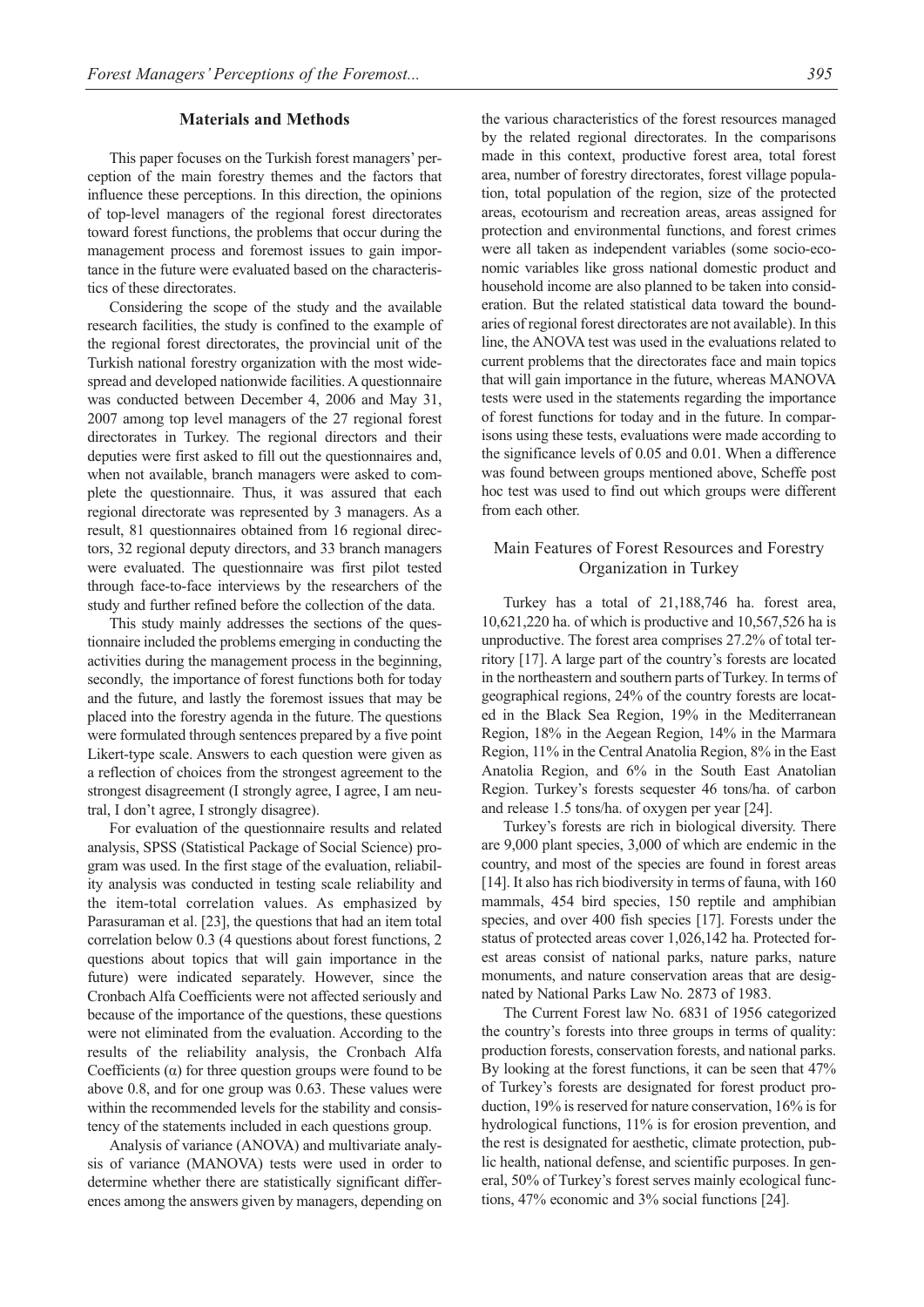#### **Materials and Methods**

This paper focuses on the Turkish forest managers' perception of the main forestry themes and the factors that influence these perceptions. In this direction, the opinions of top-level managers of the regional forest directorates toward forest functions, the problems that occur during the management process and foremost issues to gain importance in the future were evaluated based on the characteristics of these directorates.

Considering the scope of the study and the available research facilities, the study is confined to the example of the regional forest directorates, the provincial unit of the Turkish national forestry organization with the most widespread and developed nationwide facilities. A questionnaire was conducted between December 4, 2006 and May 31, 2007 among top level managers of the 27 regional forest directorates in Turkey. The regional directors and their deputies were first asked to fill out the questionnaires and, when not available, branch managers were asked to complete the questionnaire. Thus, it was assured that each regional directorate was represented by 3 managers. As a result, 81 questionnaires obtained from 16 regional directors, 32 regional deputy directors, and 33 branch managers were evaluated. The questionnaire was first pilot tested through face-to-face interviews by the researchers of the study and further refined before the collection of the data.

This study mainly addresses the sections of the questionnaire included the problems emerging in conducting the activities during the management process in the beginning, secondly, the importance of forest functions both for today and the future, and lastly the foremost issues that may be placed into the forestry agenda in the future. The questions were formulated through sentences prepared by a five point Likert-type scale. Answers to each question were given as a reflection of choices from the strongest agreement to the strongest disagreement (I strongly agree, I agree, I am neutral, I don't agree, I strongly disagree).

For evaluation of the questionnaire results and related analysis, SPSS (Statistical Package of Social Science) program was used. In the first stage of the evaluation, reliability analysis was conducted in testing scale reliability and the item-total correlation values. As emphasized by Parasuraman et al. [23], the questions that had an item total correlation below 0.3 (4 questions about forest functions, 2 questions about topics that will gain importance in the future) were indicated separately. However, since the Cronbach Alfa Coefficients were not affected seriously and because of the importance of the questions, these questions were not eliminated from the evaluation. According to the results of the reliability analysis, the Cronbach Alfa Coefficients  $(\alpha)$  for three question groups were found to be above 0.8, and for one group was 0.63. These values were within the recommended levels for the stability and consistency of the statements included in each questions group.

Analysis of variance (ANOVA) and multivariate analysis of variance (MANOVA) tests were used in order to determine whether there are statistically significant differences among the answers given by managers, depending on the various characteristics of the forest resources managed by the related regional directorates. In the comparisons made in this context, productive forest area, total forest area, number of forestry directorates, forest village population, total population of the region, size of the protected areas, ecotourism and recreation areas, areas assigned for protection and environmental functions, and forest crimes were all taken as independent variables (some socio-economic variables like gross national domestic product and household income are also planned to be taken into consideration. But the related statistical data toward the boundaries of regional forest directorates are not available). In this line, the ANOVA test was used in the evaluations related to current problems that the directorates face and main topics that will gain importance in the future, whereas MANOVA tests were used in the statements regarding the importance of forest functions for today and in the future. In comparisons using these tests, evaluations were made according to the significance levels of 0.05 and 0.01. When a difference was found between groups mentioned above, Scheffe post hoc test was used to find out which groups were different from each other.

## Main Features of Forest Resources and Forestry Organization in Turkey

Turkey has a total of 21,188,746 ha. forest area, 10,621,220 ha. of which is productive and 10,567,526 ha is unproductive. The forest area comprises 27.2% of total territory [17]. A large part of the country's forests are located in the northeastern and southern parts of Turkey. In terms of geographical regions, 24% of the country forests are located in the Black Sea Region, 19% in the Mediterranean Region, 18% in the Aegean Region, 14% in the Marmara Region, 11% in the Central Anatolia Region, 8% in the East Anatolia Region, and 6% in the South East Anatolian Region. Turkey's forests sequester 46 tons/ha. of carbon and release 1.5 tons/ha. of oxygen per year [24].

Turkey's forests are rich in biological diversity. There are 9,000 plant species, 3,000 of which are endemic in the country, and most of the species are found in forest areas [14]. It also has rich biodiversity in terms of fauna, with 160 mammals, 454 bird species, 150 reptile and amphibian species, and over 400 fish species [17]. Forests under the status of protected areas cover 1,026,142 ha. Protected forest areas consist of national parks, nature parks, nature monuments, and nature conservation areas that are designated by National Parks Law No. 2873 of 1983.

The Current Forest law No. 6831 of 1956 categorized the country's forests into three groups in terms of quality: production forests, conservation forests, and national parks. By looking at the forest functions, it can be seen that 47% of Turkey's forests are designated for forest product production, 19% is reserved for nature conservation, 16% is for hydrological functions, 11% is for erosion prevention, and the rest is designated for aesthetic, climate protection, public health, national defense, and scientific purposes. In general, 50% of Turkey's forest serves mainly ecological functions, 47% economic and 3% social functions [24].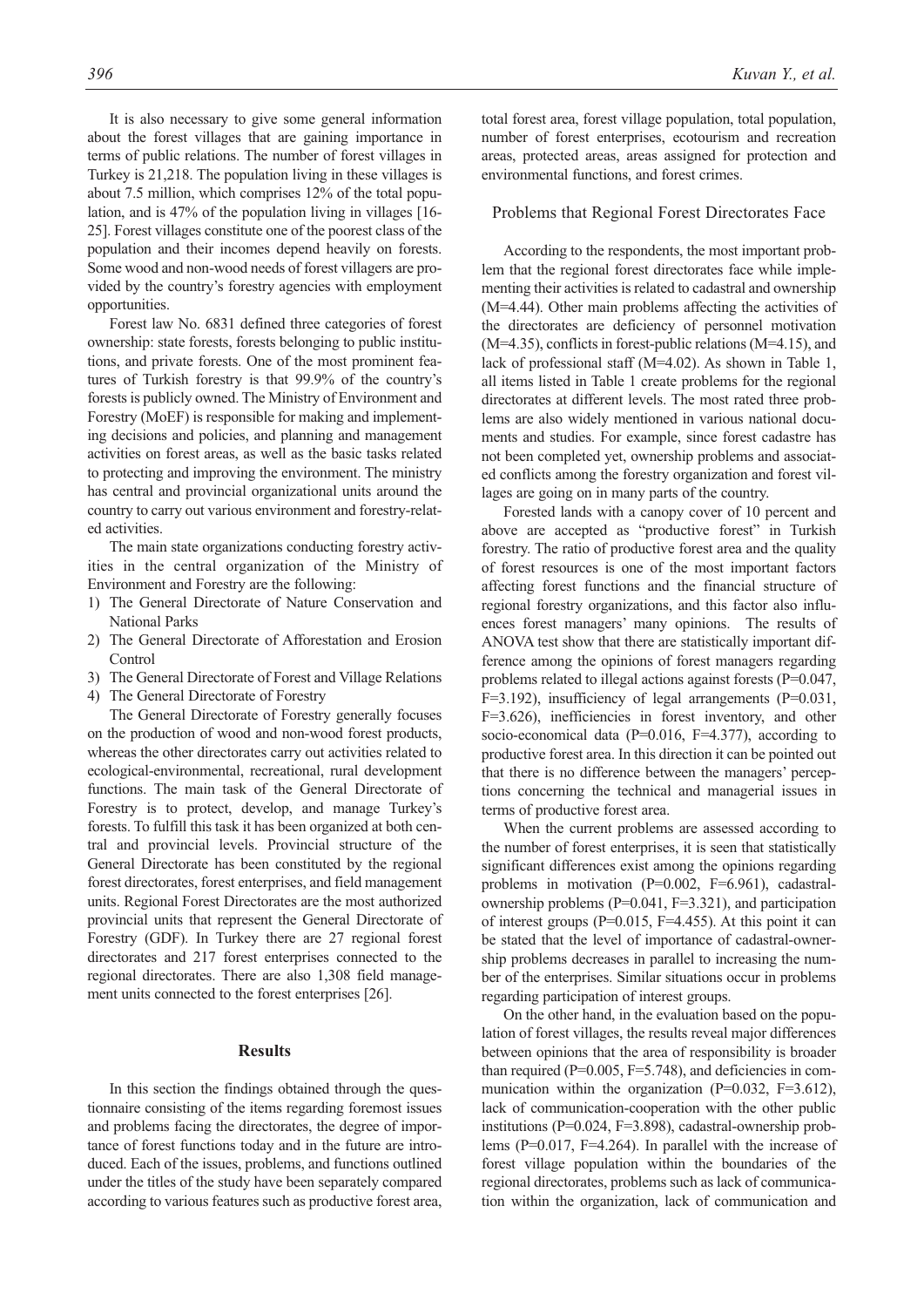It is also necessary to give some general information about the forest villages that are gaining importance in terms of public relations. The number of forest villages in Turkey is 21,218. The population living in these villages is about 7.5 million, which comprises 12% of the total population, and is 47% of the population living in villages [16- 25]. Forest villages constitute one of the poorest class of the population and their incomes depend heavily on forests. Some wood and non-wood needs of forest villagers are provided by the country's forestry agencies with employment opportunities.

Forest law No. 6831 defined three categories of forest ownership: state forests, forests belonging to public institutions, and private forests. One of the most prominent features of Turkish forestry is that 99.9% of the country's forests is publicly owned. The Ministry of Environment and Forestry (MoEF) is responsible for making and implementing decisions and policies, and planning and management activities on forest areas, as well as the basic tasks related to protecting and improving the environment. The ministry has central and provincial organizational units around the country to carry out various environment and forestry-related activities.

The main state organizations conducting forestry activities in the central organization of the Ministry of Environment and Forestry are the following:

- 1) The General Directorate of Nature Conservation and National Parks
- 2) The General Directorate of Afforestation and Erosion Control
- 3) The General Directorate of Forest and Village Relations
- 4) The General Directorate of Forestry

The General Directorate of Forestry generally focuses on the production of wood and non-wood forest products, whereas the other directorates carry out activities related to ecological-environmental, recreational, rural development functions. The main task of the General Directorate of Forestry is to protect, develop, and manage Turkey's forests. To fulfill this task it has been organized at both central and provincial levels. Provincial structure of the General Directorate has been constituted by the regional forest directorates, forest enterprises, and field management units. Regional Forest Directorates are the most authorized provincial units that represent the General Directorate of Forestry (GDF). In Turkey there are 27 regional forest directorates and 217 forest enterprises connected to the regional directorates. There are also 1,308 field management units connected to the forest enterprises [26].

### **Results**

In this section the findings obtained through the questionnaire consisting of the items regarding foremost issues and problems facing the directorates, the degree of importance of forest functions today and in the future are introduced. Each of the issues, problems, and functions outlined under the titles of the study have been separately compared according to various features such as productive forest area, total forest area, forest village population, total population, number of forest enterprises, ecotourism and recreation areas, protected areas, areas assigned for protection and environmental functions, and forest crimes.

#### Problems that Regional Forest Directorates Face

According to the respondents, the most important problem that the regional forest directorates face while implementing their activities is related to cadastral and ownership (M=4.44). Other main problems affecting the activities of the directorates are deficiency of personnel motivation (M=4.35), conflicts in forest-public relations (M=4.15), and lack of professional staff (M=4.02). As shown in Table 1, all items listed in Table 1 create problems for the regional directorates at different levels. The most rated three problems are also widely mentioned in various national documents and studies. For example, since forest cadastre has not been completed yet, ownership problems and associated conflicts among the forestry organization and forest villages are going on in many parts of the country.

Forested lands with a canopy cover of 10 percent and above are accepted as "productive forest" in Turkish forestry. The ratio of productive forest area and the quality of forest resources is one of the most important factors affecting forest functions and the financial structure of regional forestry organizations, and this factor also influences forest managers' many opinions. The results of ANOVA test show that there are statistically important difference among the opinions of forest managers regarding problems related to illegal actions against forests (P=0.047, F=3.192), insufficiency of legal arrangements (P=0.031, F=3.626), inefficiencies in forest inventory, and other socio-economical data ( $P=0.016$ ,  $F=4.377$ ), according to productive forest area. In this direction it can be pointed out that there is no difference between the managers' perceptions concerning the technical and managerial issues in terms of productive forest area.

When the current problems are assessed according to the number of forest enterprises, it is seen that statistically significant differences exist among the opinions regarding problems in motivation (P=0.002, F=6.961), cadastralownership problems (P=0.041, F=3.321), and participation of interest groups ( $P=0.015$ ,  $F=4.455$ ). At this point it can be stated that the level of importance of cadastral-ownership problems decreases in parallel to increasing the number of the enterprises. Similar situations occur in problems regarding participation of interest groups.

On the other hand, in the evaluation based on the population of forest villages, the results reveal major differences between opinions that the area of responsibility is broader than required ( $P=0.005$ ,  $F=5.748$ ), and deficiencies in communication within the organization  $(P=0.032, F=3.612)$ , lack of communication-cooperation with the other public institutions (P=0.024, F=3.898), cadastral-ownership problems (P=0.017, F=4.264). In parallel with the increase of forest village population within the boundaries of the regional directorates, problems such as lack of communication within the organization, lack of communication and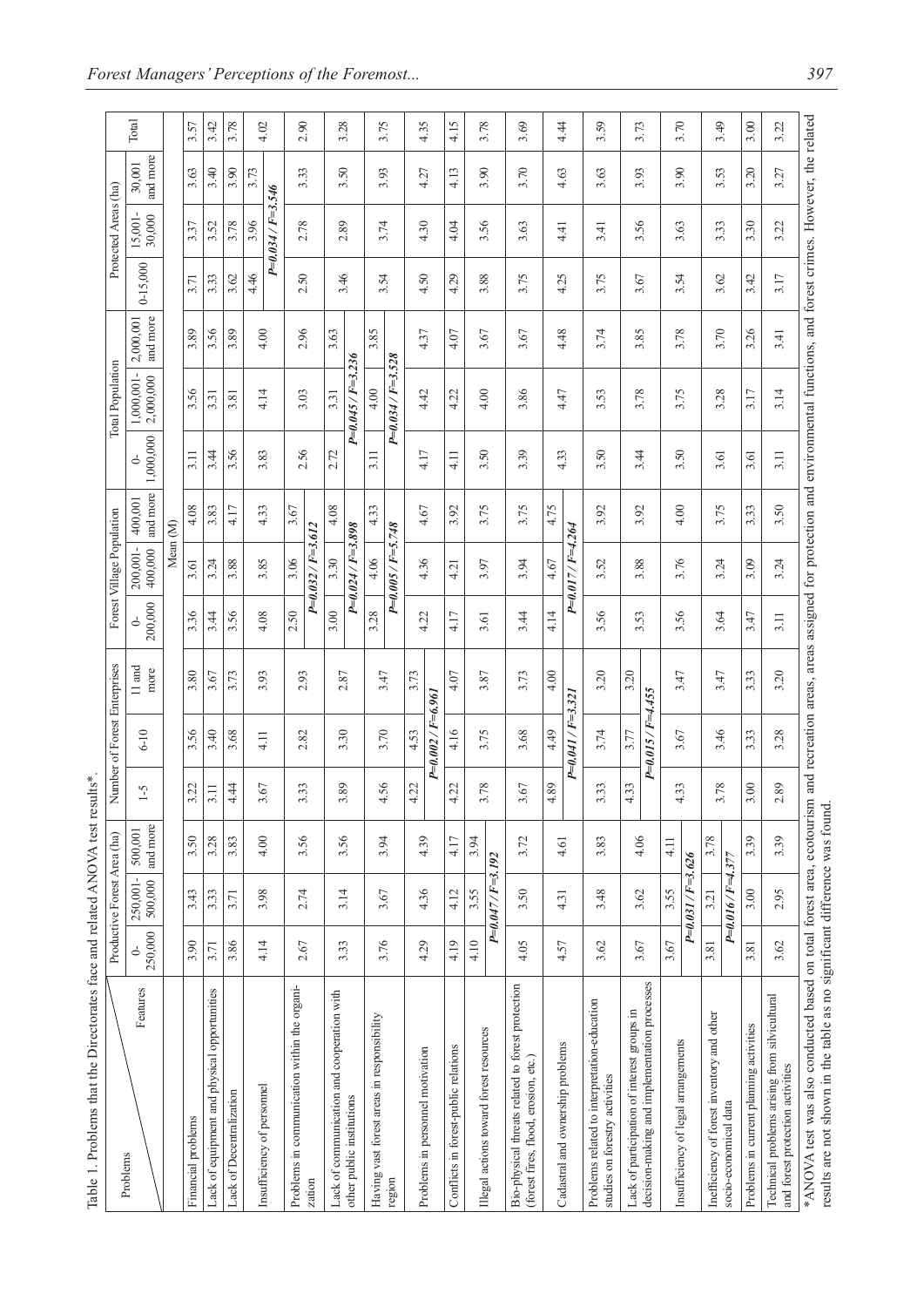| Table 1. Problems that the Directorates face and related ANOVA test results*                                                                                                                                                                                                |         | Productive Forest Area (ha) |                     |            | Number of Forest Enterprises |                  |              | Forest Village Population |                     |                | Total Population        |                       |              | Protected Areas (ha)    |                    |       |
|-----------------------------------------------------------------------------------------------------------------------------------------------------------------------------------------------------------------------------------------------------------------------------|---------|-----------------------------|---------------------|------------|------------------------------|------------------|--------------|---------------------------|---------------------|----------------|-------------------------|-----------------------|--------------|-------------------------|--------------------|-------|
| Problems                                                                                                                                                                                                                                                                    |         |                             |                     |            |                              |                  |              |                           |                     |                |                         |                       |              |                         |                    |       |
| Features                                                                                                                                                                                                                                                                    | 250,000 | 500,000<br>250,001-         | and more<br>500,001 | $\zeta$ -1 | $6-10$                       | $11$ and<br>more | 200,000<br>5 | 200,001-<br>400,000       | and more<br>400,001 | 1,000,000<br>5 | 1,000,001-<br>2,000,000 | and more<br>2,000,001 | $0 - 15,000$ | 30,000<br>15,001        | and more<br>30,001 | Total |
|                                                                                                                                                                                                                                                                             |         |                             |                     |            |                              |                  |              | Mean (M)                  |                     |                |                         |                       |              |                         |                    |       |
| Financial problems                                                                                                                                                                                                                                                          | 3.90    | 3.43                        | 3.50                | 3.22       | 3.56                         | 3.80             | 3.36         | 3.61                      | 4.08                | 3.11           | 3.56                    | 3.89                  | 3.71         | 3.37                    | 3.63               | 3.57  |
| Lack of equipment and physical opportunities                                                                                                                                                                                                                                | 3.71    | 3.33                        | 3.28                | 3.11       | 3.40                         | 3.67             | 3.44         | 3.24                      | 3.83                | 3.44           | 3.31                    | 3.56                  | 3.33         | 3.52                    | 3.40               | 3.42  |
| Lack of Decentralization                                                                                                                                                                                                                                                    | 3.86    | 3.71                        | 3.83                | 4.44       | 3.68                         | 3.73             | 3.56         | 3.88                      | 4.17                | 3.56           | 3.81                    | 3.89                  | 3.62         | 3.78                    | 3.90               | 3.78  |
| Insufficiency of personnel                                                                                                                                                                                                                                                  | 4.14    | 3.98                        | 4.00                | 3.67       | 4.11                         | 3.93             | 4.08         | 3.85                      | 4.33                | 3.83           | 4.14                    | 4.00                  | 4.46         | 3.96                    | 3.73               | 4.02  |
|                                                                                                                                                                                                                                                                             |         |                             |                     |            |                              |                  |              |                           |                     |                |                         |                       |              | $P = 0.034 / F = 3.546$ |                    |       |
| Problems in communication within the organi-                                                                                                                                                                                                                                | 2.67    | 2.74                        | 3.56                | 3.33       | 2.82                         | 2.93             | 2.50         | 3.06                      | 3.67                | 2.56           | 3.03                    | 2.96                  | 2.50         | 2.78                    | 3.33               | 2.90  |
| zation                                                                                                                                                                                                                                                                      |         |                             |                     |            |                              |                  |              | $P=0.032/F=3.612$         |                     |                |                         |                       |              |                         |                    |       |
| Lack of communication and cooperation with                                                                                                                                                                                                                                  |         | 3.14                        |                     | 3.89       | 3.30                         | 2.87             | 3.00         | 3.30                      | 4.08                | 2.72           | 3.31                    | 3.63                  |              | 2.89                    | 3.50               |       |
| other public institutions                                                                                                                                                                                                                                                   | 3.33    |                             | 3.56                |            |                              |                  |              | $P = 0.024/F = 3.898$     |                     |                | $P = 0.045 / F = 3.236$ |                       | 3.46         |                         |                    | 3.28  |
| Having vast forest areas in responsibility                                                                                                                                                                                                                                  |         |                             |                     |            | 3.70                         | 3.47             | 3.28         | 4.06                      | 4.33                | 3.11           | 4.00                    | 3.85                  |              | 3.74                    | 3.93               |       |
| region                                                                                                                                                                                                                                                                      | 3.76    | 3.67                        | 3.94                | 4.56       |                              |                  |              | $P=0.005/F=5.748$         |                     |                | $P = 0.034 / F = 3.528$ |                       | 3.54         |                         |                    | 3.75  |
|                                                                                                                                                                                                                                                                             |         |                             |                     | 4.22       | 4.53                         | 3.73             |              |                           |                     |                |                         |                       |              |                         |                    |       |
| Problems in personnel motivation                                                                                                                                                                                                                                            | 4.29    | 4.36                        | 4.39                |            | $P=0.002/F=6.961$            |                  | 4.22         | 4.36                      | 4.67                | 4.17           | 4.42                    | 4.37                  | 4.50         | 4.30                    | 4.27               | 4.35  |
| Conflicts in forest-public relations                                                                                                                                                                                                                                        | 4.19    | 4.12                        | 4.17                | 4.22       | 4.16                         | 4.07             | 4.17         | 4.21                      | 3.92                | 4.11           | 4.22                    | 4.07                  | 4.29         | 4.04                    | 4.13               | 4.15  |
|                                                                                                                                                                                                                                                                             | 4.10    | 3.55                        | 3.94                |            |                              |                  |              |                           |                     |                |                         |                       |              |                         |                    |       |
| Illegal actions toward forest resources                                                                                                                                                                                                                                     |         | $P=0.047/F=3.192$           |                     | 3.78       | 3.75                         | 3.87             | 3.61         | 3.97                      | 3.75                | 3.50           | 4.00                    | 3.67                  | 3.88         | 3.56                    | 3.90               | 3.78  |
| Bio-physical threats related to forest protection<br>(forest fires, flood, erosion, etc.)                                                                                                                                                                                   | 4.05    | 3.50                        | 3.72                | 3.67       | 3.68                         | 3.73             | 3.44         | 3.94                      | 3.75                | 3.39           | 3.86                    | 3.67                  | 3.75         | 3.63                    | 3.70               | 3.69  |
|                                                                                                                                                                                                                                                                             |         |                             |                     | 4.89       | 4.49                         | 4.00             | 4.14         | 4.67                      | 4.75                | 4.33           |                         |                       |              |                         | 4.63               |       |
| Cadastral and ownership problems                                                                                                                                                                                                                                            | 4.57    | 4.31                        | 4.61                |            | $P=0.041/F=3.321$            |                  |              | $P = 0.017 / F = 4.264$   |                     |                | 4.47                    | 4.48                  | 4.25         | 4.41                    |                    | 4.44  |
| Problems related to interpretation-education<br>studies on forestry activities                                                                                                                                                                                              | 3.62    | 3.48                        | 3.83                | 3.33       | 3.74                         | 3.20             | 3.56         | 3.52                      | 3.92                | 3.50           | 3.53                    | 3.74                  | 3.75         | 3.41                    | 3.63               | 3.59  |
| Lack of participation of interest groups in                                                                                                                                                                                                                                 | 3.67    | 3.62                        | 4.06                | 4.33       | 3.77                         | 3.20             | 3.53         | 3.88                      | 3.92                | 3.44           | 3.78                    | 3.85                  | 3.67         | 3.56                    | 3.93               | 3.73  |
| decision-making and implementation processes                                                                                                                                                                                                                                |         |                             |                     |            | $P = 0.015 / F = 4.455$      |                  |              |                           |                     |                |                         |                       |              |                         |                    |       |
| Insufficiency of legal arrangements                                                                                                                                                                                                                                         | 3.67    | 3.55                        | 4.11                | 4.33       | 3.67                         | 3.47             | 3.56         | 3.76                      | 4.00                | 3.50           | 3.75                    | 3.78                  | 3.54         | 3.63                    | 3.90               | 3.70  |
|                                                                                                                                                                                                                                                                             |         | P=0.031/F=3.626             |                     |            |                              |                  |              |                           |                     |                |                         |                       |              |                         |                    |       |
| Inefficiency of forest inventory and other                                                                                                                                                                                                                                  | 3.81    | 3.21                        | 3.78                | 3.78       | 3.46                         | 3.47             | 3.64         | 3.24                      | 3.75                | 3.61           | 3.28                    | 3.70                  | 3.62         | 3.33                    | 3.53               | 3.49  |
| socio-economical data                                                                                                                                                                                                                                                       |         | $P = 0.016 / F = 4.377$     |                     |            |                              |                  |              |                           |                     |                |                         |                       |              |                         |                    |       |
| Problems in current planning activities                                                                                                                                                                                                                                     | 3.81    | 3.00                        | 3.39                | 3.00       | 3.33                         | 3.33             | 3.47         | 3.09                      | 3.33                | 3.61           | 3.17                    | 3.26                  | 3.42         | 3.30                    | 3.20               | 3.00  |
| Technical problems arising from silvicultural<br>and forest protection activities                                                                                                                                                                                           | 3.62    | 2.95                        | 3.39                | 2.89       | 3.28                         | 3.20             | 3.11         | 3.24                      | 3.50                | 3.11           | 3.14                    | 3.41                  | 3.17         | 3.22                    | 3.27               | 3.22  |
| *ANOVA test was also conducted based on total forest area, ecotourism and recreation areas, areas assigned for protection and environmental functions, and forest crimes. However, the related<br>results are not shown in the table as no significant difference was found |         |                             |                     |            |                              |                  |              |                           |                     |                |                         |                       |              |                         |                    |       |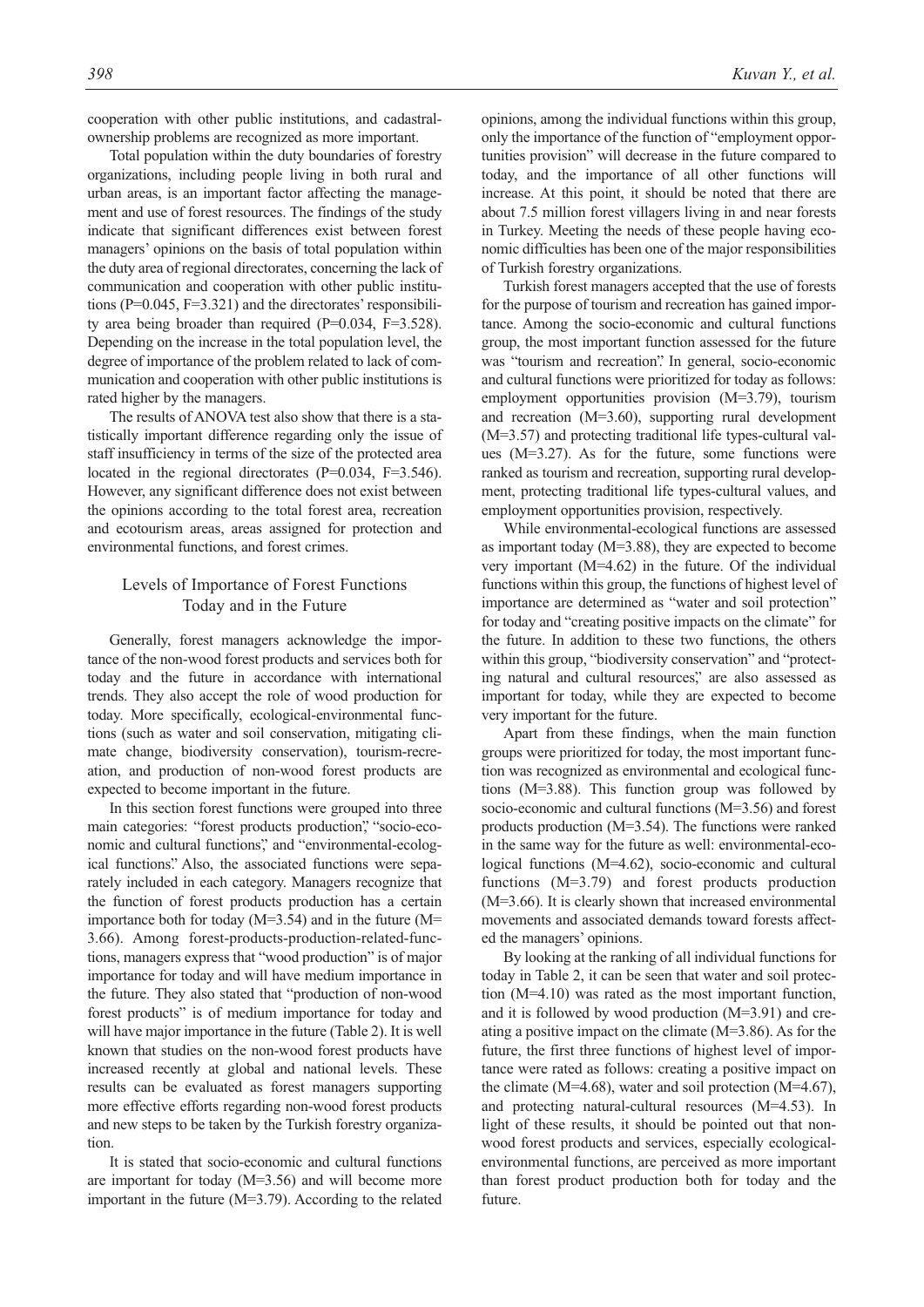cooperation with other public institutions, and cadastralownership problems are recognized as more important.

Total population within the duty boundaries of forestry organizations, including people living in both rural and urban areas, is an important factor affecting the management and use of forest resources. The findings of the study indicate that significant differences exist between forest managers' opinions on the basis of total population within the duty area of regional directorates, concerning the lack of communication and cooperation with other public institutions (P=0.045, F=3.321) and the directorates' responsibility area being broader than required (P=0.034, F=3.528). Depending on the increase in the total population level, the degree of importance of the problem related to lack of communication and cooperation with other public institutions is rated higher by the managers.

The results of ANOVA test also show that there is a statistically important difference regarding only the issue of staff insufficiency in terms of the size of the protected area located in the regional directorates (P=0.034, F=3.546). However, any significant difference does not exist between the opinions according to the total forest area, recreation and ecotourism areas, areas assigned for protection and environmental functions, and forest crimes.

# Levels of Importance of Forest Functions Today and in the Future

Generally, forest managers acknowledge the importance of the non-wood forest products and services both for today and the future in accordance with international trends. They also accept the role of wood production for today. More specifically, ecological-environmental functions (such as water and soil conservation, mitigating climate change, biodiversity conservation), tourism-recreation, and production of non-wood forest products are expected to become important in the future.

In this section forest functions were grouped into three main categories: "forest products production", "socio-economic and cultural functions", and "environmental-ecological functions". Also, the associated functions were separately included in each category. Managers recognize that the function of forest products production has a certain importance both for today (M=3.54) and in the future (M= 3.66). Among forest-products-production-related-functions, managers express that "wood production" is of major importance for today and will have medium importance in the future. They also stated that "production of non-wood forest products" is of medium importance for today and will have major importance in the future (Table 2). It is well known that studies on the non-wood forest products have increased recently at global and national levels. These results can be evaluated as forest managers supporting more effective efforts regarding non-wood forest products and new steps to be taken by the Turkish forestry organization.

It is stated that socio-economic and cultural functions are important for today (M=3.56) and will become more important in the future (M=3.79). According to the related opinions, among the individual functions within this group, only the importance of the function of "employment opportunities provision" will decrease in the future compared to today, and the importance of all other functions will increase. At this point, it should be noted that there are about 7.5 million forest villagers living in and near forests in Turkey. Meeting the needs of these people having economic difficulties has been one of the major responsibilities of Turkish forestry organizations.

Turkish forest managers accepted that the use of forests for the purpose of tourism and recreation has gained importance. Among the socio-economic and cultural functions group, the most important function assessed for the future was "tourism and recreation". In general, socio-economic and cultural functions were prioritized for today as follows: employment opportunities provision (M=3.79), tourism and recreation (M=3.60), supporting rural development (M=3.57) and protecting traditional life types-cultural values (M=3.27). As for the future, some functions were ranked as tourism and recreation, supporting rural development, protecting traditional life types-cultural values, and employment opportunities provision, respectively.

While environmental-ecological functions are assessed as important today (M=3.88), they are expected to become very important (M=4.62) in the future. Of the individual functions within this group, the functions of highest level of importance are determined as "water and soil protection" for today and "creating positive impacts on the climate" for the future. In addition to these two functions, the others within this group, "biodiversity conservation" and "protecting natural and cultural resources," are also assessed as important for today, while they are expected to become very important for the future.

Apart from these findings, when the main function groups were prioritized for today, the most important function was recognized as environmental and ecological functions (M=3.88). This function group was followed by socio-economic and cultural functions (M=3.56) and forest products production (M=3.54). The functions were ranked in the same way for the future as well: environmental-ecological functions (M=4.62), socio-economic and cultural functions  $(M=3.79)$  and forest products production (M=3.66). It is clearly shown that increased environmental movements and associated demands toward forests affected the managers' opinions.

By looking at the ranking of all individual functions for today in Table 2, it can be seen that water and soil protection (M=4.10) was rated as the most important function, and it is followed by wood production (M=3.91) and creating a positive impact on the climate (M=3.86). As for the future, the first three functions of highest level of importance were rated as follows: creating a positive impact on the climate (M=4.68), water and soil protection (M=4.67), and protecting natural-cultural resources (M=4.53). In light of these results, it should be pointed out that nonwood forest products and services, especially ecologicalenvironmental functions, are perceived as more important than forest product production both for today and the future.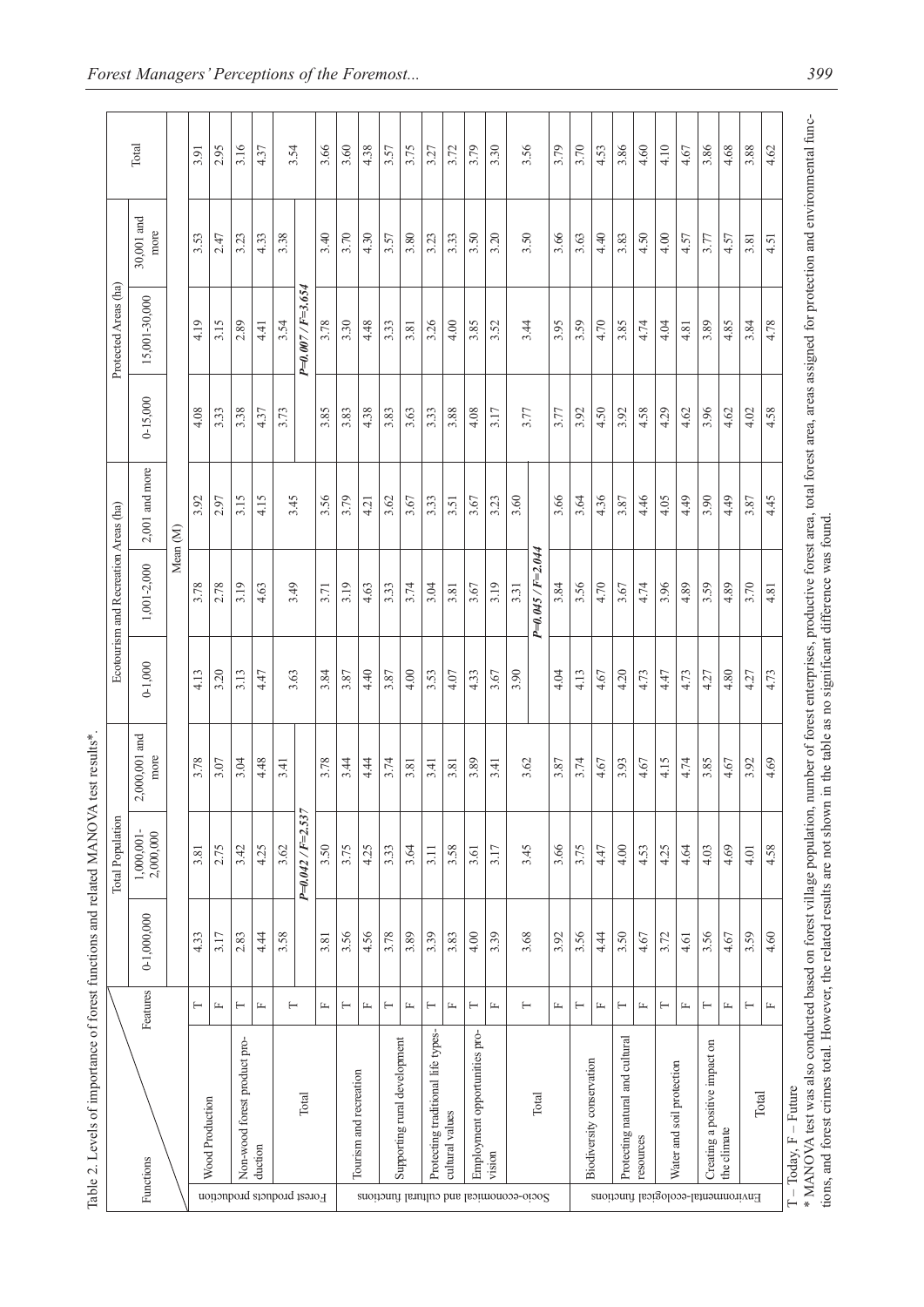|                                         |                                              |                         |               | Total Population           |                         |             | Ecotourism and Recreation Areas (ha) |                     |              | Protected Areas (ha) |                    |       |
|-----------------------------------------|----------------------------------------------|-------------------------|---------------|----------------------------|-------------------------|-------------|--------------------------------------|---------------------|--------------|----------------------|--------------------|-------|
|                                         | Functions                                    | Features                | $0-1,000,000$ | $1,000,001$ -<br>2,000,000 | $2,000,001$ and<br>more | $0 - 1,000$ | 1,001-2,000                          | $2,001$ and more    | $0 - 15,000$ | 15,001-30,000        | 30,001 and<br>more | Total |
|                                         |                                              |                         |               |                            |                         |             |                                      | Mean <sub>(M)</sub> |              |                      |                    |       |
|                                         |                                              | ⊢                       | 4.33          | 3.81                       | 3.78                    | 4.13        | 3.78                                 | 3.92                | 4.08         | 4.19                 | 3.53               | 3.91  |
| Forest products production              | Wood Production                              | $\mathbf{r}$            | 3.17          | 2.75                       | 3.07                    | 3.20        | 2.78                                 | 2.97                | 3.33         | 3.15                 | 2.47               | 2.95  |
|                                         | Non-wood forest product pro-                 | Н                       | 2.83          | 3.42                       | 3.04                    | 3.13        | 3.19                                 | 3.15                | 3.38         | 2.89                 | 3.23               | 3.16  |
|                                         | duction                                      | $\mathbf{r}$            | 4.44          | 4.25                       | 4.48                    | 4.47        | 4.63                                 | 4.15                | 4.37         | 4.41                 | 4.33               | 4.37  |
|                                         |                                              |                         | 3.58          | 3.62                       | 3.41                    |             |                                      |                     | 3.73         | 3.54                 | 3.38               |       |
|                                         | Total                                        | $\vdash$                |               | $P = 0.042 / F = 2.537$    |                         | 3.63        | 3.49                                 | 3.45                |              | $P=0.007/F=3.654$    |                    | 3.54  |
|                                         |                                              | $\mathbb{L}$            | 3.81          | 3.50                       | 3.78                    | 3.84        | 3.71                                 | 3.56                | 3.85         | 3.78                 | 3.40               | 3.66  |
|                                         |                                              | Н                       | 3.56          | 3.75                       | 3.44                    | 3.87        | 3.19                                 | 3.79                | 3.83         | 3.30                 | 3.70               | 3.60  |
|                                         | Tourism and recreation                       | $\mathbb{L}$            | 4.56          | 4.25                       | 4.44                    | 4.40        | 4.63                                 | 4.21                | 4.38         | 4.48                 | 4.30               | 4.38  |
|                                         |                                              | $\vdash$                | 3.78          | 3.33                       | 3.74                    | 3.87        | 3.33                                 | 3.62                | 3.83         | 3.33                 | 3.57               | 3.57  |
|                                         | Supporting rural development                 | $\mathbb{L}$            | 3.89          | 3.64                       | 3.81                    | 4.00        | 3.74                                 | 3.67                | 3.63         | 3.81                 | 3.80               | 3.75  |
|                                         | Protecting traditional life types-           | $\vdash$                | 3.39          | 3.11                       | 3.41                    | 3.53        | 3.04                                 | 3.33                | 3.33         | 3.26                 | 3.23               | 3.27  |
|                                         | cultural values                              | $\mathrel{\sqsubseteq}$ | 3.83          | 3.58                       | 3.81                    | 4.07        | 3.81                                 | 3.51                | 3.88         | 4.00                 | 3.33               | 3.72  |
|                                         | Employment opportunities pro-                | $\vdash$                | 4.00          | 3.61                       | 3.89                    | 4.33        | 3.67                                 | 3.67                | 4.08         | 3.85                 | 3.50               | 3.79  |
|                                         | vision                                       | $\mathbf{L}$            | 3.39          | 3.17                       | 3.41                    | 3.67        | 3.19                                 | 3.23                | 3.17         | 3.52                 | 3.20               | 3.30  |
| Socio-economical and cultural functions |                                              |                         |               |                            |                         | 3.90        | 3.31                                 | 3.60                |              |                      |                    |       |
|                                         | Total                                        | Ε                       | 3.68          | 3.45                       | 3.62                    |             | P=0.045 / F=2.044                    |                     | 3.77         | 3.44                 | 3.50               | 3.56  |
|                                         |                                              | Щ                       | 3.92          | 3.66                       | 3.87                    | 4.04        | 3.84                                 | 3.66                | 3.77         | 3.95                 | 3.66               | 3.79  |
|                                         |                                              | Н                       | 3.56          | 3.75                       | 3.74                    | 4.13        | 3.56                                 | 3.64                | 3.92         | 3.59                 | 3.63               | 3.70  |
|                                         | Biodiversity conservation                    | $\mathbb{L}$            | 4.44          | 4.47                       | 4.67                    | 4.67        | 4.70                                 | 4.36                | 4.50         | 4.70                 | 4.40               | 4.53  |
|                                         | Protecting natural and cultural              | Η                       | 3.50          | 4.00                       | 3.93                    | 4.20        | 3.67                                 | 3.87                | 3.92         | 3.85                 | 3.83               | 3.86  |
|                                         | resources                                    | $\mathbf{L}$            | 4.67          | 4.53                       | 4.67                    | 4.73        | 4.74                                 | 4.46                | 4.58         | 4.74                 | 4.50               | 4.60  |
|                                         |                                              | Η                       | 3.72          | 4.25                       | 4.15                    | 4.47        | 3.96                                 | 4.05                | 4.29         | 4.04                 | 4.00               | 4.10  |
|                                         | Water and soil protection                    | $\mathbb{L}$            | 4.61          | 4.64                       | 4.74                    | 4.73        | 4.89                                 | 4.49                | 4.62         | 4.81                 | 4.57               | 4.67  |
| Environmental-ecological functions      | Creating a positive impact on<br>the climate | Ε                       | 3.56          | 4.03                       | 3.85                    | 4.27        | 3.59                                 | 3.90                | 3.96         | 3.89                 | 3.77               | 3.86  |
|                                         |                                              | $\mathbb{L}$            | 4.67          | 4.69                       | 4.67                    | 4.80        | 4.89                                 | 4.49                | 4.62         | 4.85                 | 4.57               | 4.68  |
|                                         | Total                                        | ⊢                       | 3.59          | 4.01                       | 3.92                    | 4.27        | 3.70                                 | 3.87                | 4.02         | 3.84                 | 3.81               | 3.88  |
|                                         |                                              | $\mathbb{L}$            | 4.60          | 4.58                       | 4.69                    | 4.73        | 4.81                                 | 4.45                | 4.58         | 4.78                 | 4.51               | 4.62  |
|                                         | $-$ Future<br>$T - T_0$ day F                |                         |               |                            |                         |             |                                      |                     |              |                      |                    |       |

Table 2. Levels of importance of forest functions and related MANOVA test results\*. Table 2. Levels of importance of forest functions and related MANOVA test results\*.

T – Today, F – Future

. The second of the second and the second forest village population, number of forest enterprises, productive forest area, total forest area, areas assigned for protection and environmental functions, and forest was also c \* MANOVA test was also conducted based on forest village population, number of forest enterprises, productive forest area, total forest area, areas assigned for protection and environmental functions, and forest crimes total. However, the related results are not shown in the table as no significant difference was found.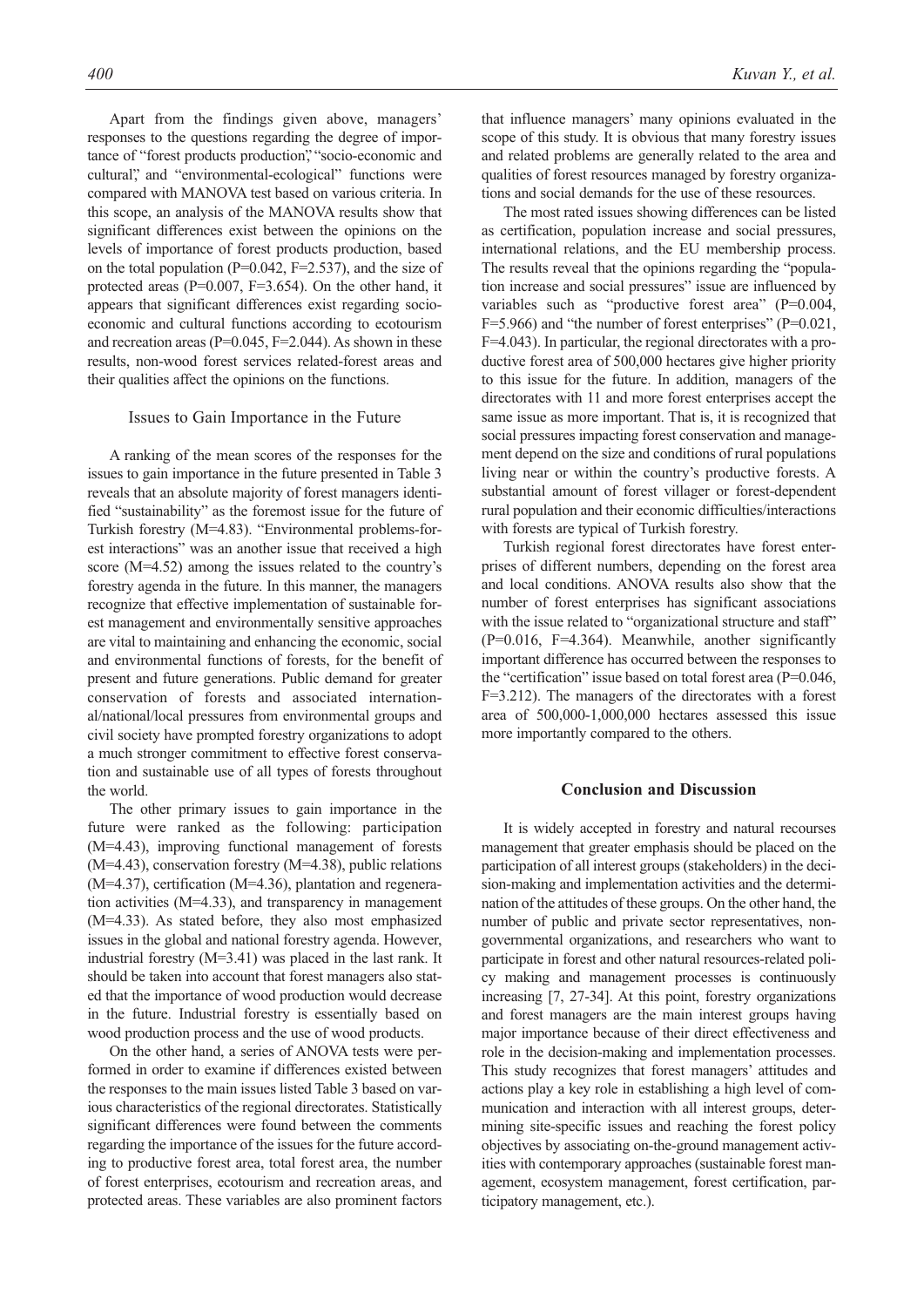Apart from the findings given above, managers' responses to the questions regarding the degree of importance of "forest products production", "socio-economic and cultural", and "environmental-ecological" functions were compared with MANOVA test based on various criteria. In this scope, an analysis of the MANOVA results show that significant differences exist between the opinions on the levels of importance of forest products production, based on the total population ( $P=0.042$ ,  $F=2.537$ ), and the size of protected areas ( $P=0.007$ ,  $F=3.654$ ). On the other hand, it appears that significant differences exist regarding socioeconomic and cultural functions according to ecotourism and recreation areas ( $P=0.045$ ,  $F=2.044$ ). As shown in these results, non-wood forest services related-forest areas and their qualities affect the opinions on the functions.

#### Issues to Gain Importance in the Future

A ranking of the mean scores of the responses for the issues to gain importance in the future presented in Table 3 reveals that an absolute majority of forest managers identified "sustainability" as the foremost issue for the future of Turkish forestry (M=4.83). "Environmental problems-forest interactions" was an another issue that received a high score (M=4.52) among the issues related to the country's forestry agenda in the future. In this manner, the managers recognize that effective implementation of sustainable forest management and environmentally sensitive approaches are vital to maintaining and enhancing the economic, social and environmental functions of forests, for the benefit of present and future generations. Public demand for greater conservation of forests and associated international/national/local pressures from environmental groups and civil society have prompted forestry organizations to adopt a much stronger commitment to effective forest conservation and sustainable use of all types of forests throughout the world.

The other primary issues to gain importance in the future were ranked as the following: participation (M=4.43), improving functional management of forests  $(M=4.43)$ , conservation forestry  $(M=4.38)$ , public relations (M=4.37), certification (M=4.36), plantation and regeneration activities (M=4.33), and transparency in management (M=4.33). As stated before, they also most emphasized issues in the global and national forestry agenda. However, industrial forestry (M=3.41) was placed in the last rank. It should be taken into account that forest managers also stated that the importance of wood production would decrease in the future. Industrial forestry is essentially based on wood production process and the use of wood products.

On the other hand, a series of ANOVA tests were performed in order to examine if differences existed between the responses to the main issues listed Table 3 based on various characteristics of the regional directorates. Statistically significant differences were found between the comments regarding the importance of the issues for the future according to productive forest area, total forest area, the number of forest enterprises, ecotourism and recreation areas, and protected areas. These variables are also prominent factors that influence managers' many opinions evaluated in the scope of this study. It is obvious that many forestry issues and related problems are generally related to the area and qualities of forest resources managed by forestry organizations and social demands for the use of these resources.

The most rated issues showing differences can be listed as certification, population increase and social pressures, international relations, and the EU membership process. The results reveal that the opinions regarding the "population increase and social pressures" issue are influenced by variables such as "productive forest area" (P=0.004,  $F=5.966$ ) and "the number of forest enterprises" (P=0.021, F=4.043). In particular, the regional directorates with a productive forest area of 500,000 hectares give higher priority to this issue for the future. In addition, managers of the directorates with 11 and more forest enterprises accept the same issue as more important. That is, it is recognized that social pressures impacting forest conservation and management depend on the size and conditions of rural populations living near or within the country's productive forests. A substantial amount of forest villager or forest-dependent rural population and their economic difficulties/interactions with forests are typical of Turkish forestry.

Turkish regional forest directorates have forest enterprises of different numbers, depending on the forest area and local conditions. ANOVA results also show that the number of forest enterprises has significant associations with the issue related to "organizational structure and staff" (P=0.016, F=4.364). Meanwhile, another significantly important difference has occurred between the responses to the "certification" issue based on total forest area (P=0.046, F=3.212). The managers of the directorates with a forest area of 500,000-1,000,000 hectares assessed this issue more importantly compared to the others.

## **Conclusion and Discussion**

It is widely accepted in forestry and natural recourses management that greater emphasis should be placed on the participation of all interest groups (stakeholders) in the decision-making and implementation activities and the determination of the attitudes of these groups. On the other hand, the number of public and private sector representatives, nongovernmental organizations, and researchers who want to participate in forest and other natural resources-related policy making and management processes is continuously increasing [7, 27-34]. At this point, forestry organizations and forest managers are the main interest groups having major importance because of their direct effectiveness and role in the decision-making and implementation processes. This study recognizes that forest managers' attitudes and actions play a key role in establishing a high level of communication and interaction with all interest groups, determining site-specific issues and reaching the forest policy objectives by associating on-the-ground management activities with contemporary approaches (sustainable forest management, ecosystem management, forest certification, participatory management, etc.).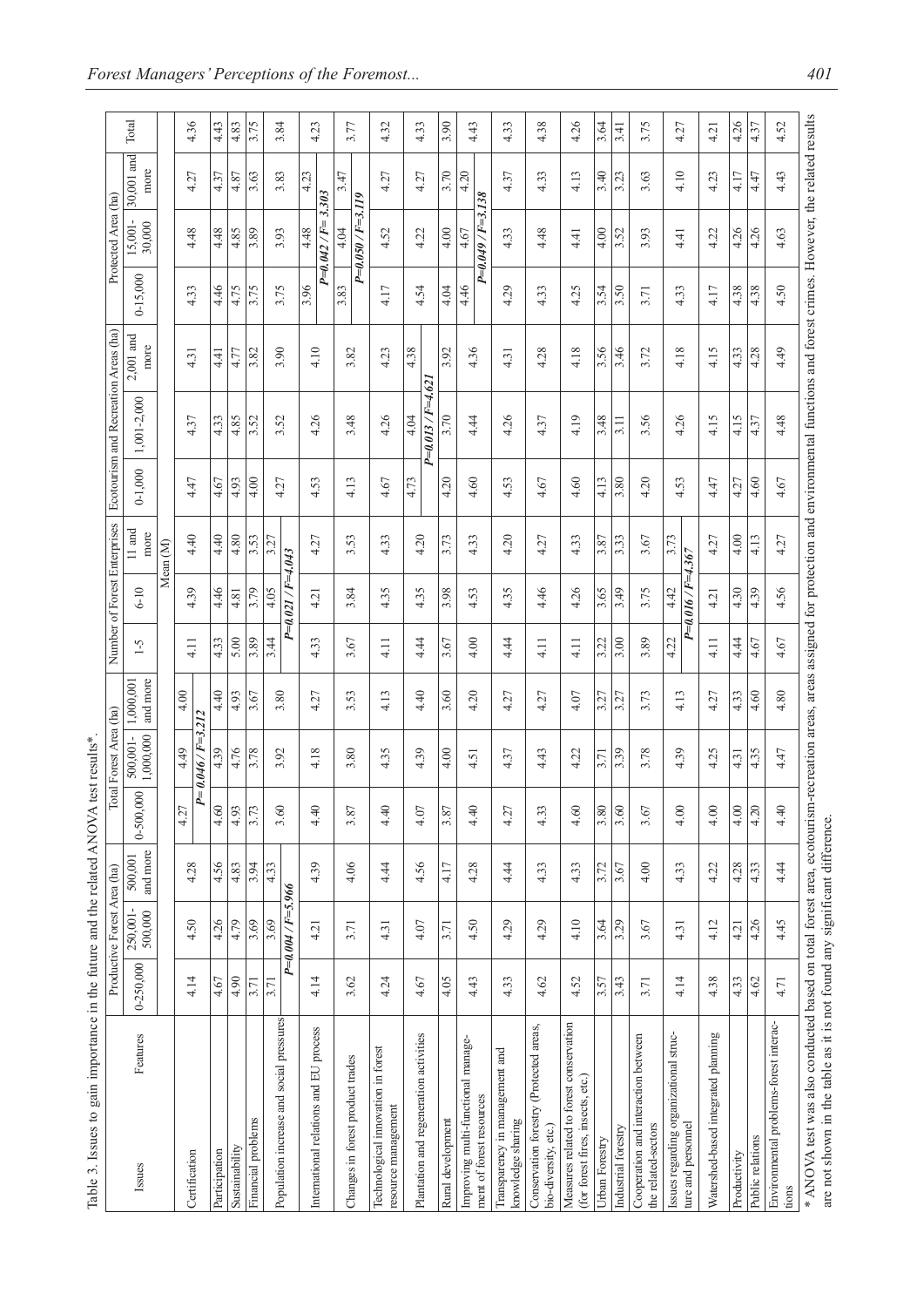| Table 3. Issues to gain importance in the future and the related ANOVA                                                                                                                                                                                                          |           | Productive Forest Area (ha) |                     |               | otal Forest Area (ha)<br>test results* |                       |      | Number of Forest Enterprises    |                  |             | Ecotourism and Recreation Areas (ha) |                     |              | Protected Area (ha)       |                    |       |
|---------------------------------------------------------------------------------------------------------------------------------------------------------------------------------------------------------------------------------------------------------------------------------|-----------|-----------------------------|---------------------|---------------|----------------------------------------|-----------------------|------|---------------------------------|------------------|-------------|--------------------------------------|---------------------|--------------|---------------------------|--------------------|-------|
| Features<br>Issues                                                                                                                                                                                                                                                              | 0-250,000 | 250,001-<br>500,000         | and more<br>500,001 | $0 - 500,000$ | 1,000,000<br>500,001-                  | and more<br>1,000,001 | $-5$ | $6 - 10$                        | $11$ and<br>more | $0 - 1,000$ | 1,001-2,000                          | $2,001$ and<br>more | $0 - 15,000$ | 15,001-<br>30,000         | 30,001 and<br>more | Total |
|                                                                                                                                                                                                                                                                                 |           |                             |                     |               |                                        |                       |      |                                 | Mean (M)         |             |                                      |                     |              |                           |                    |       |
| Certification                                                                                                                                                                                                                                                                   | 4.14      | 4.50                        | 4.28                | 4.27          | $P = 0.046 / F = 3.212$<br>4.49        | 4.00                  | 4.11 | 4.39                            | 4.40             | 4.47        | 4.37                                 | 4.31                | 4.33         | 4.48                      | 4.27               | 4.36  |
| Participation                                                                                                                                                                                                                                                                   | 4.67      | 4.26                        | 4.56                | 4.60          | 4.39                                   | 4.40                  | 4.33 | 4.46                            | 4.40             | 4.67        | 4.33                                 | न<br>4              | 4.46         | 4.48                      | 4.37               | 4.43  |
| Sustainability                                                                                                                                                                                                                                                                  | 4.90      | 4.79                        | 4.83                | 4.93          | 4.76                                   | 4.93                  | 5.00 | 4.81                            | 4.80             | 4.93        | 4.85                                 | 4.77                | 4.75         | 4.85                      | 4.87               | 4.83  |
| Financial problems                                                                                                                                                                                                                                                              | 3.71      | 3.69                        | 3.94                | 3.73          | 3.78                                   | 3.67                  | 3.89 | 3.79                            | 3.53             | 4.00        | 3.52                                 | 3.82                | 3.75         | 3.89                      | 3.63               | 3.75  |
|                                                                                                                                                                                                                                                                                 | 3.71      | 3.69                        | 4.33                | 3.60          | 3.92                                   | 3.80                  | 3.44 | 4.05                            | 3.27             | 4.27        | 3.52                                 | 3.90                | 3.75         | 3.93                      | 3.83               | 3.84  |
| Population increase and social pressures                                                                                                                                                                                                                                        |           | $P=0.004/F=5.966$           |                     |               |                                        |                       |      | $P = 0.021 / F = 4.043$         |                  |             |                                      |                     |              |                           |                    |       |
| International relations and EU process                                                                                                                                                                                                                                          | 4.14      | 4.21                        | 4.39                | 4.40          | 4.18                                   | 4.27                  | 4.33 | 4.21                            | 4.27             | 4.53        | 4.26                                 | 4.10                | 3.96         | 4.48                      | 4.23               | 4.23  |
|                                                                                                                                                                                                                                                                                 |           |                             |                     |               |                                        |                       |      |                                 |                  |             |                                      |                     |              | $P = 0.042/F =$           | 3.303              |       |
| Changes in forest product trades                                                                                                                                                                                                                                                | 3.62      | 3.71                        | 4.06                | 3.87          | 3.80                                   | 3.53                  | 3.67 | 3.84                            | 3.53             | 4.13        | 3.48                                 | 3.82                | 3.83         | $P=0.050/F=3.119$<br>4.04 | 3.47               | 3.77  |
| Technological innovation in forest<br>resource management                                                                                                                                                                                                                       | 4.24      | 4.31                        | 4.44                | 4.40          | 4.35                                   | 4.13                  | 4.11 | 4.35                            | 4.33             | 4.67        | 4.26                                 | 4.23                | 4.17         | 4.52                      | 4.27               | 4.32  |
| Plantation and regeneration activities                                                                                                                                                                                                                                          | 4.67      | 4.07                        | 4.56                | 4.07          | 4.39                                   | 4.40                  | 4.44 | 4.35                            | 4.20             | 4.73        | 4.04                                 | 4.38                | 4.54         | 4.22                      | 4.27               | 4.33  |
|                                                                                                                                                                                                                                                                                 |           |                             |                     |               |                                        |                       |      |                                 |                  |             | $P = 0.013 / F = 4.62$               |                     |              |                           |                    |       |
| Rural development                                                                                                                                                                                                                                                               | 4.05      | 3.71                        | 4.I7                | 3.87          | 4.00                                   | 3.60                  | 3.67 | 3.98                            | 3.73             | 4.20        | 3.70                                 | 3.92                | 4.04         | 4.00                      | 3.70               | 3.90  |
| Improving multi-functional manage-<br>ment of forest resources                                                                                                                                                                                                                  | 4.43      | 4.50                        | 4.28                | 4.40          | 4.51                                   | 4.20                  | 4.00 | 4.53                            | 4.33             | 4.60        | 4.44                                 | 4.36                | 4.46         | $P=0.049/F=3.138$<br>4.67 | 4.20               | 4.43  |
| Transparency in management and<br>knowledge sharing                                                                                                                                                                                                                             | 4.33      | 4.29                        | 4.44                | 4.27          | 4.37                                   | 4.27                  | 4.44 | 4.35                            | 4.20             | 4.53        | 4.26                                 | 4.31                | 4.29         | 4.33                      | 4.37               | 4.33  |
| Conservation forestry (Protected areas,<br>bio-diversity, etc.)                                                                                                                                                                                                                 | 4.62      | 4.29                        | 4.33                | 4.33          | 4.43                                   | 4.27                  | 4.11 | 4.46                            | 4.27             | 4.67        | 4.37                                 | 4.28                | 4.33         | 4.48                      | 4.33               | 4.38  |
| Measures related to forest conservation<br>(for forest fires, insects, etc.)                                                                                                                                                                                                    | 4.52      | 4.10                        | 4.33                | 4.60          | 4.22                                   | 4.07                  | 4.11 | 4.26                            | 4.33             | 4.60        | 4.19                                 | 4.18                | 4.25         | 4.41                      | 4.13               | 4.26  |
| Urban Forestry                                                                                                                                                                                                                                                                  | 3.57      | 3.64                        | 3.72                | 3.80          | 3.71                                   | 3.27                  | 3.22 | 3.65                            | 3.87             | 4.13        | 3.48                                 | 3.56                | 3.54         | 4.00                      | 3.40               | 3.64  |
| Industrial forestry                                                                                                                                                                                                                                                             | 3.43      | 3.29                        | 3.67                | 3.60          | 3.39                                   | 3.27                  | 3.00 | 3.49                            | 3.33             | 3.80        | 3.11                                 | 3.46                | 3.50         | 3.52                      | 3.23               | 3.41  |
| Cooperation and interaction between<br>the related-sectors                                                                                                                                                                                                                      | 3.71      | 3.67                        | 4.00                | 3.67          | 3.78                                   | 3.73                  | 3.89 | 3.75                            | 3.67             | 4.20        | 3.56                                 | 3.72                | 3.71         | 3.93                      | 3.63               | 3.75  |
| Issues regarding organizational struc-<br>ture and personnel                                                                                                                                                                                                                    | 4.14      | 4.31                        | 4.33                | 4.00          | 4.39                                   | 4.13                  | 4.22 | $P = 0.016 / F = 4.367$<br>4.42 | 3.73             | 4.53        | 4.26                                 | 4.18                | 4.33         | 4.41                      | 4.10               | 4.27  |
| Watershed-based integrated planning                                                                                                                                                                                                                                             | 4.38      | 4.12                        | 4.22                | 4.00          | 4.25                                   | 4.27                  | 4.11 | 4.21                            | 4.27             | 4.47        | 4.15                                 | 4.15                | 4.17         | 4.22                      | 4.23               | 4.21  |
| Productivity                                                                                                                                                                                                                                                                    | 4.33      | 4.21                        | 4.28                | 4.00          | 4.31                                   | 4.33                  | 4.44 | 4.30                            | 4.00             | 4.27        | 4.15                                 | 4.33                | 4.38         | 4.26                      | 4.17               | 4.26  |
| Public relations                                                                                                                                                                                                                                                                | 4.62      | 4.26                        | 4.33                | 4.20          | 4.35                                   | 4.60                  | 4.67 | 4.39                            | 4.13             | 4.60        | 4.37                                 | 4.28                | 4.38         | 4.26                      | 4.47               | 4.37  |
| Environmental problems-forest interac-<br>tions                                                                                                                                                                                                                                 | 4.71      | 4.45                        | 4.44                | 4.40          | 4.47                                   | 4.80                  | 4.67 | 4.56                            | 4.27             | 4.67        | 4.48                                 | 4.49                | 4.50         | 4.63                      | 4.43               | 4.52  |
| * ANOVA test was also conducted based on total forest area, ecotourism-recreation areas, areas assigned for protection and environmental functions and forest crimes. However, the related results<br>are not shown in the table as it is not found any significant difference. |           |                             |                     |               |                                        |                       |      |                                 |                  |             |                                      |                     |              |                           |                    |       |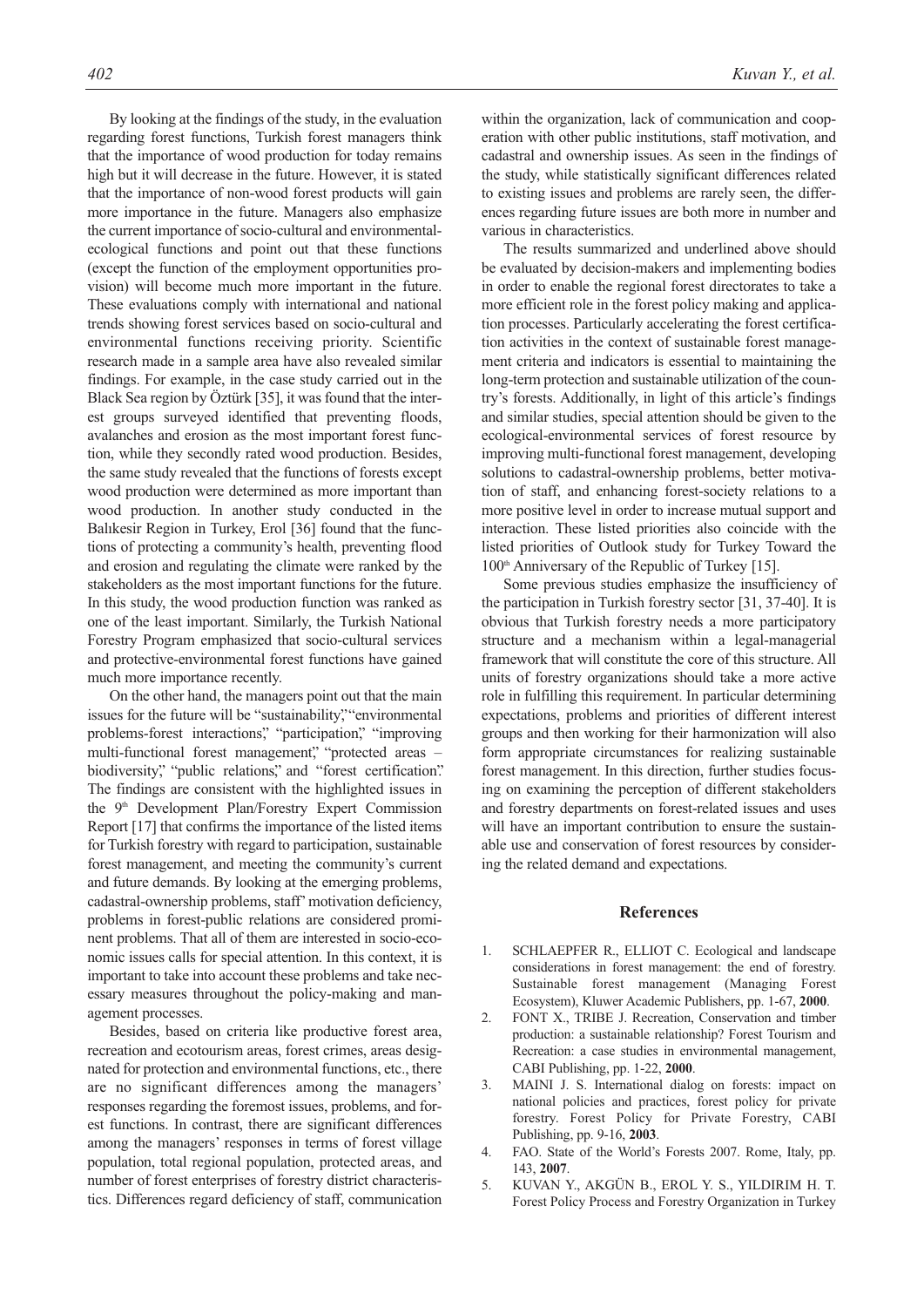By looking at the findings of the study, in the evaluation regarding forest functions, Turkish forest managers think that the importance of wood production for today remains high but it will decrease in the future. However, it is stated that the importance of non-wood forest products will gain more importance in the future. Managers also emphasize the current importance of socio-cultural and environmentalecological functions and point out that these functions (except the function of the employment opportunities provision) will become much more important in the future. These evaluations comply with international and national trends showing forest services based on socio-cultural and environmental functions receiving priority. Scientific research made in a sample area have also revealed similar findings. For example, in the case study carried out in the Black Sea region by Öztürk [35], it was found that the interest groups surveyed identified that preventing floods, avalanches and erosion as the most important forest function, while they secondly rated wood production. Besides, the same study revealed that the functions of forests except wood production were determined as more important than wood production. In another study conducted in the Balıkesir Region in Turkey, Erol [36] found that the functions of protecting a community's health, preventing flood and erosion and regulating the climate were ranked by the stakeholders as the most important functions for the future. In this study, the wood production function was ranked as one of the least important. Similarly, the Turkish National Forestry Program emphasized that socio-cultural services and protective-environmental forest functions have gained much more importance recently.

On the other hand, the managers point out that the main issues for the future will be "sustainability," "environmental problems-forest interactions," "participation," "improving multi-functional forest management", "protected areas biodiversity," "public relations," and "forest certification." The findings are consistent with the highlighted issues in the 9<sup>th</sup> Development Plan/Forestry Expert Commission Report [17] that confirms the importance of the listed items for Turkish forestry with regard to participation, sustainable forest management, and meeting the community's current and future demands. By looking at the emerging problems, cadastral-ownership problems, staff' motivation deficiency, problems in forest-public relations are considered prominent problems. That all of them are interested in socio-economic issues calls for special attention. In this context, it is important to take into account these problems and take necessary measures throughout the policy-making and management processes.

Besides, based on criteria like productive forest area, recreation and ecotourism areas, forest crimes, areas designated for protection and environmental functions, etc., there are no significant differences among the managers' responses regarding the foremost issues, problems, and forest functions. In contrast, there are significant differences among the managers' responses in terms of forest village population, total regional population, protected areas, and number of forest enterprises of forestry district characteristics. Differences regard deficiency of staff, communication within the organization, lack of communication and cooperation with other public institutions, staff motivation, and cadastral and ownership issues. As seen in the findings of the study, while statistically significant differences related to existing issues and problems are rarely seen, the differences regarding future issues are both more in number and various in characteristics.

The results summarized and underlined above should be evaluated by decision-makers and implementing bodies in order to enable the regional forest directorates to take a more efficient role in the forest policy making and application processes. Particularly accelerating the forest certification activities in the context of sustainable forest management criteria and indicators is essential to maintaining the long-term protection and sustainable utilization of the country's forests. Additionally, in light of this article's findings and similar studies, special attention should be given to the ecological-environmental services of forest resource by improving multi-functional forest management, developing solutions to cadastral-ownership problems, better motivation of staff, and enhancing forest-society relations to a more positive level in order to increase mutual support and interaction. These listed priorities also coincide with the listed priorities of Outlook study for Turkey Toward the 100<sup>th</sup> Anniversary of the Republic of Turkey [15].

Some previous studies emphasize the insufficiency of the participation in Turkish forestry sector [31, 37-40]. It is obvious that Turkish forestry needs a more participatory structure and a mechanism within a legal-managerial framework that will constitute the core of this structure. All units of forestry organizations should take a more active role in fulfilling this requirement. In particular determining expectations, problems and priorities of different interest groups and then working for their harmonization will also form appropriate circumstances for realizing sustainable forest management. In this direction, further studies focusing on examining the perception of different stakeholders and forestry departments on forest-related issues and uses will have an important contribution to ensure the sustainable use and conservation of forest resources by considering the related demand and expectations.

#### **References**

- 1. SCHLAEPFER R., ELLIOT C. Ecological and landscape considerations in forest management: the end of forestry. Sustainable forest management (Managing Forest Ecosystem), Kluwer Academic Publishers, pp. 1-67, **2000**.
- 2. FONT X., TRIBE J. Recreation, Conservation and timber production: a sustainable relationship? Forest Tourism and Recreation: a case studies in environmental management, CABI Publishing, pp. 1-22, **2000**.
- 3. MAINI J. S. International dialog on forests: impact on national policies and practices, forest policy for private forestry. Forest Policy for Private Forestry, CABI Publishing, pp. 9-16, **2003**.
- 4. FAO. State of the World's Forests 2007. Rome, Italy, pp. 143, **2007**.
- 5. KUVAN Y., AKGÜN B., EROL Y. S., YILDIRIM H. T. Forest Policy Process and Forestry Organization in Turkey